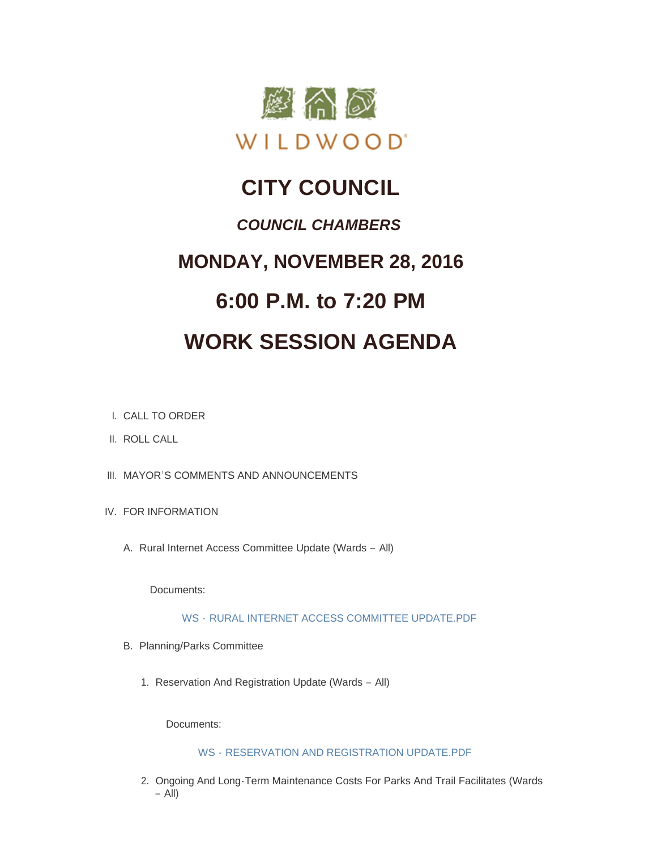

## **CITY COUNCIL**

### *COUNCIL CHAMBERS*

## **MONDAY, NOVEMBER 28, 2016**

# **6:00 P.M. to 7:20 PM**

## **WORK SESSION AGENDA**

- CALL TO ORDER I.
- II. ROLL CALL
- III. MAYOR'S COMMENTS AND ANNOUNCEMENTS
- IV. FOR INFORMATION
	- A. Rural Internet Access Committee Update (Wards All)

Documents:

WS - [RURAL INTERNET ACCESS COMMITTEE UPDATE.PDF](http://mo-wildwood.civicplus.com/AgendaCenter/ViewFile/Item/8998?fileID=13279)

- B. Planning/Parks Committee
	- 1. Reservation And Registration Update (Wards All)

Documents:

#### WS - [RESERVATION AND REGISTRATION UPDATE.PDF](http://mo-wildwood.civicplus.com/AgendaCenter/ViewFile/Item/9000?fileID=13272)

2. Ongoing And Long-Term Maintenance Costs For Parks And Trail Facilitates (Wards – All)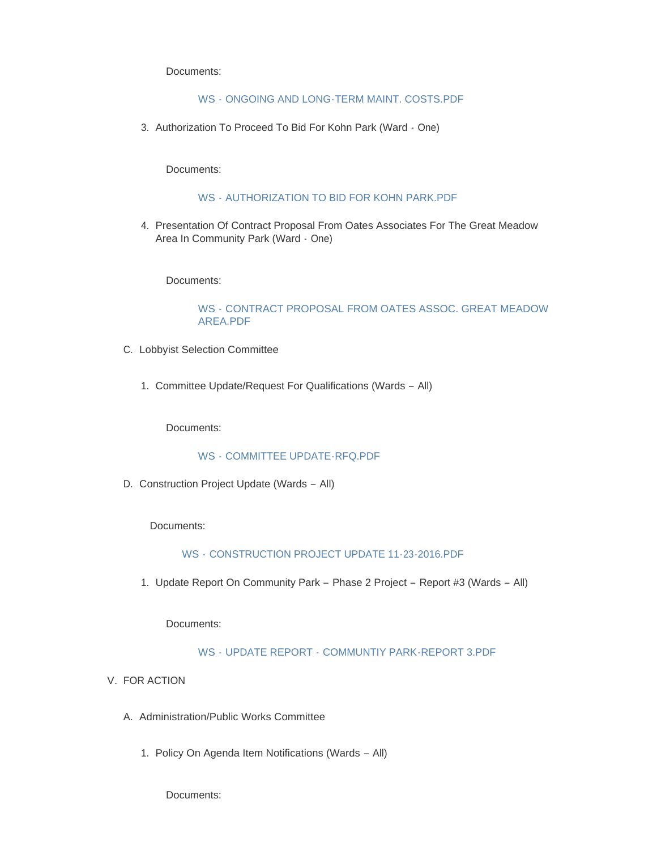Documents:

#### WS - [ONGOING AND LONG-TERM MAINT. COSTS.PDF](http://mo-wildwood.civicplus.com/AgendaCenter/ViewFile/Item/9001?fileID=13273)

3. Authorization To Proceed To Bid For Kohn Park (Ward - One)

Documents:

#### WS - [AUTHORIZATION TO BID FOR KOHN PARK.PDF](http://mo-wildwood.civicplus.com/AgendaCenter/ViewFile/Item/9002?fileID=13277)

4. Presentation Of Contract Proposal From Oates Associates For The Great Meadow Area In Community Park (Ward - One)

Documents:

#### WS - [CONTRACT PROPOSAL FROM OATES ASSOC. GREAT MEADOW](http://mo-wildwood.civicplus.com/AgendaCenter/ViewFile/Item/9003?fileID=13274)  AREA.PDF

- C. Lobbyist Selection Committee
	- 1. Committee Update/Request For Qualifications (Wards All)

Documents:

#### WS - [COMMITTEE UPDATE-RFQ.PDF](http://mo-wildwood.civicplus.com/AgendaCenter/ViewFile/Item/9005?fileID=13275)

D. Construction Project Update (Wards - All)

Documents:

#### WS - [CONSTRUCTION PROJECT UPDATE 11-23-2016.PDF](http://mo-wildwood.civicplus.com/AgendaCenter/ViewFile/Item/9006?fileID=13280)

1. Update Report On Community Park - Phase 2 Project - Report #3 (Wards - All)

Documents:

#### WS - UPDATE REPORT - [COMMUNTIY PARK-REPORT 3.PDF](http://mo-wildwood.civicplus.com/AgendaCenter/ViewFile/Item/9007?fileID=13276)

- V. FOR ACTION
	- A. Administration/Public Works Committee
		- 1. Policy On Agenda Item Notifications (Wards All)

Documents: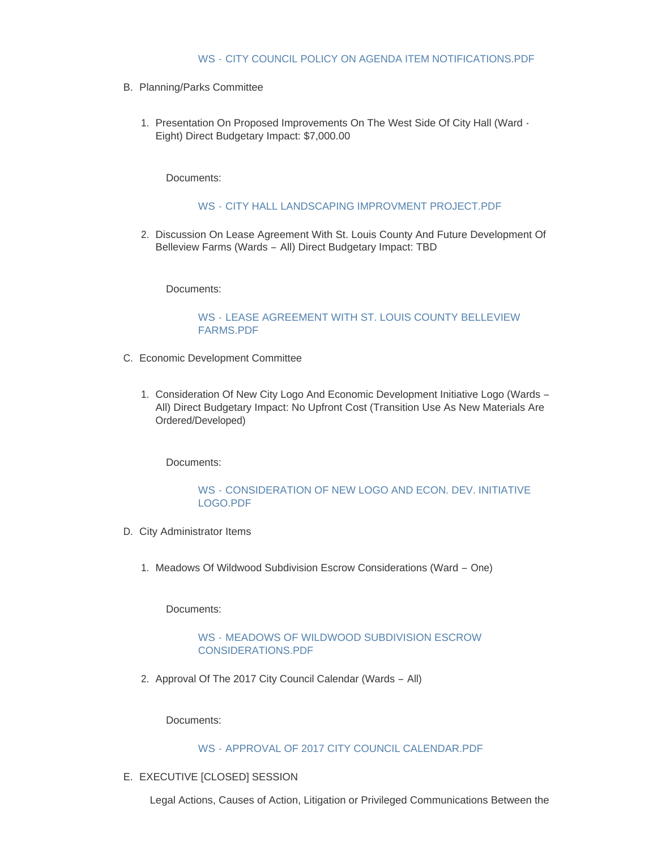- B. Planning/Parks Committee
	- 1. Presentation On Proposed Improvements On The West Side Of City Hall (Ward -Eight) Direct Budgetary Impact: \$7,000.00

Documents:

#### WS - [CITY HALL LANDSCAPING IMPROVMENT PROJECT.PDF](http://mo-wildwood.civicplus.com/AgendaCenter/ViewFile/Item/9011?fileID=13281)

2. Discussion On Lease Agreement With St. Louis County And Future Development Of Belleview Farms (Wards – All) Direct Budgetary Impact: TBD

Documents:

#### WS - [LEASE AGREEMENT WITH ST. LOUIS COUNTY BELLEVIEW](http://mo-wildwood.civicplus.com/AgendaCenter/ViewFile/Item/9012?fileID=13268)  FARMS.PDF

- Economic Development Committee C.
	- 1. Consideration Of New City Logo And Economic Development Initiative Logo (Wards -All) Direct Budgetary Impact: No Upfront Cost (Transition Use As New Materials Are Ordered/Developed)

Documents:

#### WS - [CONSIDERATION OF NEW LOGO AND ECON. DEV. INITIATIVE](http://mo-wildwood.civicplus.com/AgendaCenter/ViewFile/Item/9014?fileID=13269)  LOGO.PDF

- D. City Administrator Items
	- 1. Meadows Of Wildwood Subdivision Escrow Considerations (Ward One)

Documents:

#### WS - [MEADOWS OF WILDWOOD SUBDIVISION ESCROW](http://mo-wildwood.civicplus.com/AgendaCenter/ViewFile/Item/9016?fileID=13270)  CONSIDERATIONS.PDF

2. Approval Of The 2017 City Council Calendar (Wards - All)

Documents:

#### WS - [APPROVAL OF 2017 CITY COUNCIL CALENDAR.PDF](http://mo-wildwood.civicplus.com/AgendaCenter/ViewFile/Item/9017?fileID=13271)

E. EXECUTIVE [CLOSED] SESSION

Legal Actions, Causes of Action, Litigation or Privileged Communications Between the